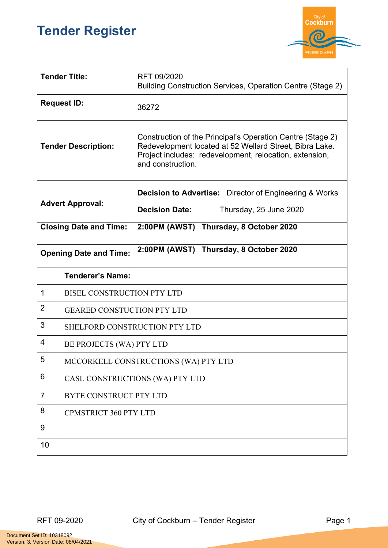## **Tender Register**



| <b>Tender Title:</b>          |                                      | RFT 09/2020<br>Building Construction Services, Operation Centre (Stage 2)                                                                                                                             |  |
|-------------------------------|--------------------------------------|-------------------------------------------------------------------------------------------------------------------------------------------------------------------------------------------------------|--|
| <b>Request ID:</b>            |                                      | 36272                                                                                                                                                                                                 |  |
| <b>Tender Description:</b>    |                                      | Construction of the Principal's Operation Centre (Stage 2)<br>Redevelopment located at 52 Wellard Street, Bibra Lake.<br>Project includes: redevelopment, relocation, extension,<br>and construction. |  |
| <b>Advert Approval:</b>       |                                      | <b>Decision to Advertise:</b> Director of Engineering & Works                                                                                                                                         |  |
|                               |                                      | <b>Decision Date:</b><br>Thursday, 25 June 2020                                                                                                                                                       |  |
| <b>Closing Date and Time:</b> |                                      | 2:00PM (AWST) Thursday, 8 October 2020                                                                                                                                                                |  |
| <b>Opening Date and Time:</b> |                                      | 2:00PM (AWST) Thursday, 8 October 2020                                                                                                                                                                |  |
|                               | <b>Tenderer's Name:</b>              |                                                                                                                                                                                                       |  |
| 1                             | <b>BISEL CONSTRUCTION PTY LTD</b>    |                                                                                                                                                                                                       |  |
| $\overline{2}$                | <b>GEARED CONSTUCTION PTY LTD</b>    |                                                                                                                                                                                                       |  |
| 3                             | SHELFORD CONSTRUCTION PTY LTD        |                                                                                                                                                                                                       |  |
| 4                             | BE PROJECTS (WA) PTY LTD             |                                                                                                                                                                                                       |  |
| 5                             | MCCORKELL CONSTRUCTIONS (WA) PTY LTD |                                                                                                                                                                                                       |  |
| 6                             | CASL CONSTRUCTIONS (WA) PTY LTD      |                                                                                                                                                                                                       |  |
| $\overline{7}$                | BYTE CONSTRUCT PTY LTD               |                                                                                                                                                                                                       |  |
| 8                             | <b>CPMSTRICT 360 PTY LTD</b>         |                                                                                                                                                                                                       |  |
| 9                             |                                      |                                                                                                                                                                                                       |  |
| 10                            |                                      |                                                                                                                                                                                                       |  |